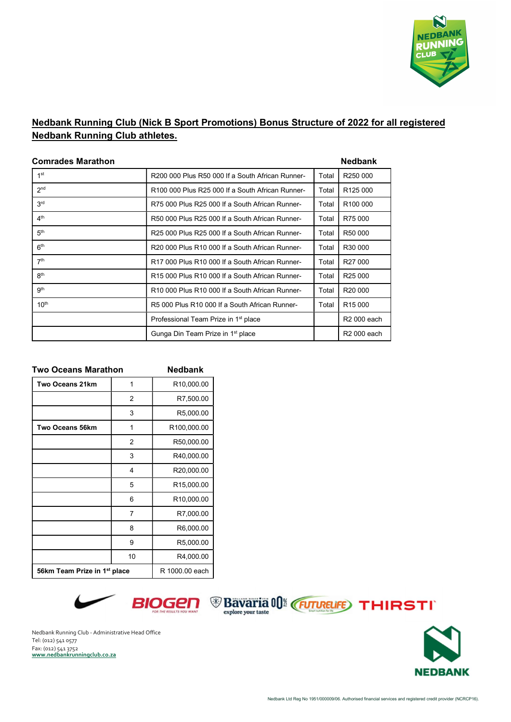

## Nedbank Running Club (Nick B Sport Promotions) Bonus Structure of 2022 for all registered Nedbank Running Club athletes.

| <b>Comrades Marathon</b> |                                                  |       | <b>Nedbank</b>       |  |
|--------------------------|--------------------------------------------------|-------|----------------------|--|
| 1 <sup>st</sup>          | R200 000 Plus R50 000 If a South African Runner- | Total | R250 000             |  |
| 2 <sub>nd</sub>          | R100 000 Plus R25 000 If a South African Runner- | Total | R125 000             |  |
| 3 <sup>rd</sup>          | R75 000 Plus R25 000 If a South African Runner-  | Total | R <sub>100</sub> 000 |  |
| 4 <sup>th</sup>          | R50 000 Plus R25 000 If a South African Runner-  | Total | R75 000              |  |
| 5 <sup>th</sup>          | R25 000 Plus R25 000 If a South African Runner-  | Total | R <sub>50</sub> 000  |  |
| 6 <sup>th</sup>          | R20 000 Plus R10 000 If a South African Runner-  | Total | R30 000              |  |
| 7 <sup>th</sup>          | R17 000 Plus R10 000 If a South African Runner-  | Total | R <sub>27</sub> 000  |  |
| 8 <sup>th</sup>          | R15 000 Plus R10 000 If a South African Runner-  | Total | R <sub>25</sub> 000  |  |
| gth                      | R10 000 Plus R10 000 If a South African Runner-  | Total | R <sub>20</sub> 000  |  |
| 10 <sup>th</sup>         | R5 000 Plus R10 000 If a South African Runner-   | Total | R <sub>15</sub> 000  |  |
|                          | Professional Team Prize in 1 <sup>st</sup> place |       | R2 000 each          |  |
|                          | Gunga Din Team Prize in 1 <sup>st</sup> place    |       | R2 000 each          |  |

| <b>Two Oceans Marathon</b>               |    | <b>Nedbank</b>          |
|------------------------------------------|----|-------------------------|
| <b>Two Oceans 21km</b>                   | 1  | R <sub>10</sub> ,000.00 |
|                                          | 2  | R7,500.00               |
|                                          | 3  | R5,000.00               |
| <b>Two Oceans 56km</b>                   | 1  | R100,000.00             |
|                                          | 2  | R50,000.00              |
|                                          | 3  | R40,000.00              |
|                                          | 4  | R20,000.00              |
|                                          | 5  | R15,000.00              |
|                                          | 6  | R10,000.00              |
|                                          | 7  | R7,000.00               |
|                                          | 8  | R6,000.00               |
|                                          | 9  | R5,000.00               |
|                                          | 10 | R4,000.00               |
| 56km Team Prize in 1 <sup>st</sup> place |    | R 1000.00 each          |





Nedbank Running Club - Administrative Head Office Tel: (012) 541 0577 Fax: (012) 541 3752<br>www.nedbankrunningclub.co.za

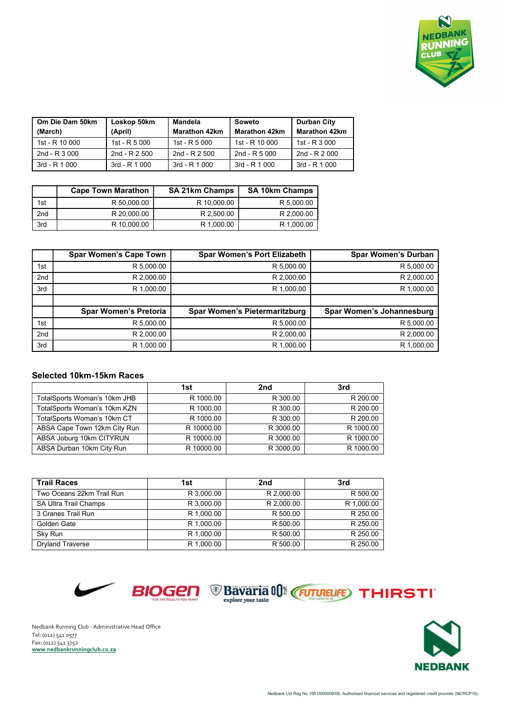

| Om Die Dam 50km<br>(March) | Loskop 50km<br>(April) | <b>Mandela</b><br><b>Marathon 42km</b> | Soweto<br><b>Marathon 42km</b> | <b>Durban City</b><br><b>Marathon 42km</b> |
|----------------------------|------------------------|----------------------------------------|--------------------------------|--------------------------------------------|
| 1st - R 10 000             | 1st - $R$ 5 000        | 1st - R $5000$                         | $1st - R$ 10 000               | 1st - R $3,000$                            |
| 2nd - $R$ 3 000            | 2nd - $R$ 2 500        | 2nd - R 2 500                          | 2nd - $R$ 5 000                | 2nd - $R$ 2 000                            |
| 3rd - R 1 000              | $3rd - R$ 1 000        | $3rd - R 1000$                         | 3rd - R 1 000                  | 3rd - R 1 000                              |

|     | <b>Cape Town Marathon</b> | <b>SA 21km Champs</b> | <b>SA 10km Champs</b> |
|-----|---------------------------|-----------------------|-----------------------|
| 1st | R 50,000.00               | R 10.000.00           | R 5,000.00            |
| 2nd | R 20,000.00               | R 2.500.00            | R 2,000.00            |
| 3rd | R 10.000.00               | R 1.000.00            | R 1,000.00            |

|                 | <b>Spar Women's Cape Town</b> | <b>Spar Women's Port Elizabeth</b>   | <b>Spar Women's Durban</b> |
|-----------------|-------------------------------|--------------------------------------|----------------------------|
| 1st             | R 5,000.00                    | R 5,000.00                           | R 5,000.00                 |
| 2 <sub>nd</sub> | R 2,000.00                    | R 2,000.00                           | R 2,000.00                 |
| 3rd             | R 1,000.00                    | R 1,000.00                           | R 1,000.00                 |
|                 |                               |                                      |                            |
|                 | <b>Spar Women's Pretoria</b>  | <b>Spar Women's Pietermaritzburg</b> | Spar Women's Johannesburg  |
| 1st             | R 5,000.00                    | R 5,000.00                           | R 5,000.00                 |
| 2nd             | R 2.000.00                    | R 2,000.00                           | R 2,000.00                 |
| 3rd             | R 1.000.00                    | R 1.000.00                           | R 1.000.00                 |

## Selected 10km-15km Races

|                              | 1st        | 2nd       | 3rd       |
|------------------------------|------------|-----------|-----------|
| TotalSports Woman's 10km JHB | R 1000.00  | R 300.00  | R 200.00  |
| TotalSports Woman's 10km KZN | R 1000.00  | R 300.00  | R 200.00  |
| TotalSports Woman's 10km CT  | R 1000.00  | R 300.00  | R 200.00  |
| ABSA Cape Town 12km City Run | R 10000.00 | R 3000.00 | R 1000.00 |
| ABSA Joburg 10km CITYRUN     | R 10000.00 | R 3000.00 | R 1000.00 |
| ABSA Durban 10km City Run    | R 10000.00 | R 3000.00 | R 1000.00 |

| <b>Trail Races</b>        | 1st        | 2nd        | 3rd        |
|---------------------------|------------|------------|------------|
| Two Oceans 22km Trail Run | R 3.000.00 | R 2.000.00 | R 500.00   |
| SA Ultra Trail Champs     | R 3.000.00 | R 2.000.00 | R 1,000.00 |
| 3 Cranes Trail Run        | R 1.000.00 | R 500.00   | R 250.00   |
| Golden Gate               | R 1.000.00 | R 500.00   | R 250.00   |
| Sky Run                   | R 1.000.00 | R 500.00   | R 250.00   |
| <b>Dryland Traverse</b>   | R 1,000.00 | R 500.00   | R 250.00   |



Nedbank Running Club - Administrative Head Office Tel: (012) 541 0577 Fax: (012) 541 3752<br>www.nedbankrunningclub.co.za